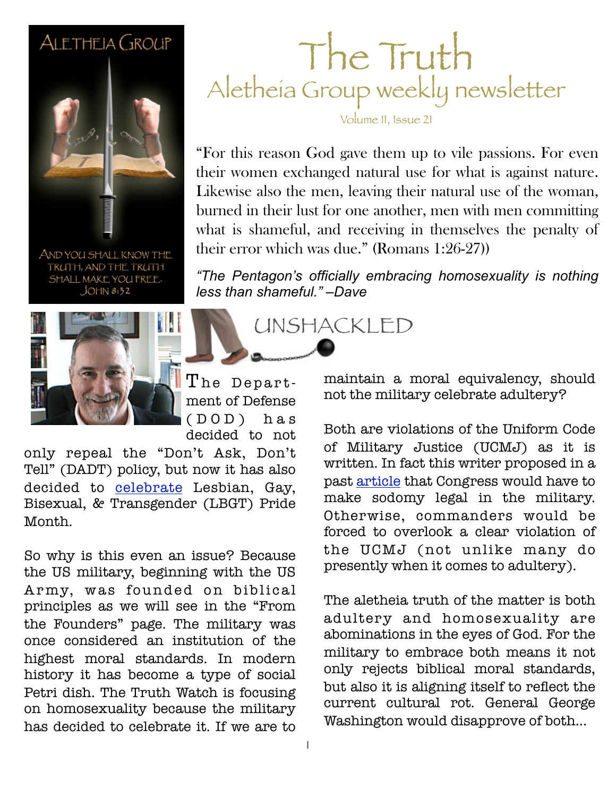#### ALETHEIA GROUP



AND YOU SHALL KNOW THE TRUTH, AND THE TRUTH SHALL MAKE YOU FREE.  $JOHN 8:32$ 



The Department of Defense ( D O D ) h a s decided to not

only repeal the "Don't Ask, Don't Tell" (DADT) policy, but now it has also decided to [celebrate](http://www.christianpost.com/news/pentagon-to-celebrate-pride-month-nearly-a-year-after-repeal-banning-gays-76679/) Lesbian, Gay, Bisexual, & Transgender (LBGT) Pride Month.

So why is this even an issue? Because the US military, beginning with the US Army, was founded on biblical principles as we will see in the "From the Founders" page. The military was once considered an institution of the highest moral standards. In modern history it has become a type of social Petri dish. The Truth Watch is focusing on homosexuality because the military has decided to celebrate it. If we are to

### The Truth Aletheia Group weekly newsletter

Volume II, Issue 21

what is shameful, and receiving in themselves the penalty of "For this reason God gave them up to vile passions. For even their women exchanged natural use for what is against nature. Likewise also the men, leaving their natural use of the woman, burned in their lust for one another, men with men committing their error which was due." (Romans 1:26-27))

*"The Pentagon's officially embracing homosexuality is nothing less than shameful." –Dave*

UNSHACKLED

maintain a moral equivalency, should not the military celebrate adultery?

Both are violations of the Uniform Code of Military Justice (UCMJ) as it is written. In fact this writer proposed in a past [article](http://www.boogai.net/top-story/congress-forced-to-vote-on-sodomy-for-military-members/) that Congress would have to make sodomy legal in the military. Otherwise, commanders would be forced to overlook a clear violation of the UCMJ (not unlike many do presently when it comes to adultery).

The aletheia truth of the matter is both adultery and homosexuality are abominations in the eyes of God. For the military to embrace both means it not only rejects biblical moral standards, but also it is aligning itself to reflect the current cultural rot. General George Washington would disapprove of both...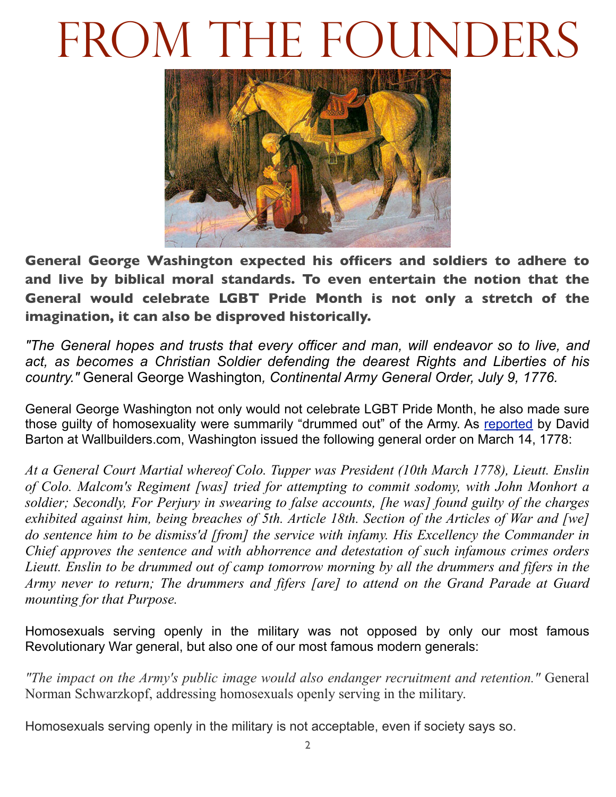# FROM THE FOUNDERS



**General George Washington expected his officers and soldiers to adhere to and live by biblical moral standards. To even entertain the notion that the General would celebrate LGBT Pride Month is not only a stretch of the imagination, it can also be disproved historically.** 

*"The General hopes and trusts that every officer and man, will endeavor so to live, and act, as becomes a Christian Soldier defending the dearest Rights and Liberties of his country."* General George Washington*, Continental Army General Order, July 9, 1776.*

General George Washington not only would not celebrate LGBT Pride Month, he also made sure those guilty of homosexuality were summarily "drummed out" of the Army. As [reported](http://www.wallbuilders.com/libissuesarticles.asp?id=101%23R1) by David Barton at Wallbuilders.com, Washington issued the following general order on March 14, 1778:

*At a General Court Martial whereof Colo. Tupper was President (10th March 1778), Lieutt. Enslin of Colo. Malcom's Regiment [was] tried for attempting to commit sodomy, with John Monhort a soldier; Secondly, For Perjury in swearing to false accounts, [he was] found guilty of the charges exhibited against him, being breaches of 5th. Article 18th. Section of the Articles of War and [we] do sentence him to be dismiss'd [from] the service with infamy. His Excellency the Commander in Chief approves the sentence and with abhorrence and detestation of such infamous crimes orders Lieutt. Enslin to be drummed out of camp tomorrow morning by all the drummers and fifers in the Army never to return; The drummers and fifers [are] to attend on the Grand Parade at Guard mounting for that Purpose.*

Homosexuals serving openly in the military was not opposed by only our most famous Revolutionary War general, but also one of our most famous modern generals:

*"The impact on the Army's public image would also endanger recruitment and retention."* General Norman Schwarzkopf, addressing homosexuals openly serving in the military.

Homosexuals serving openly in the military is not acceptable, even if society says so.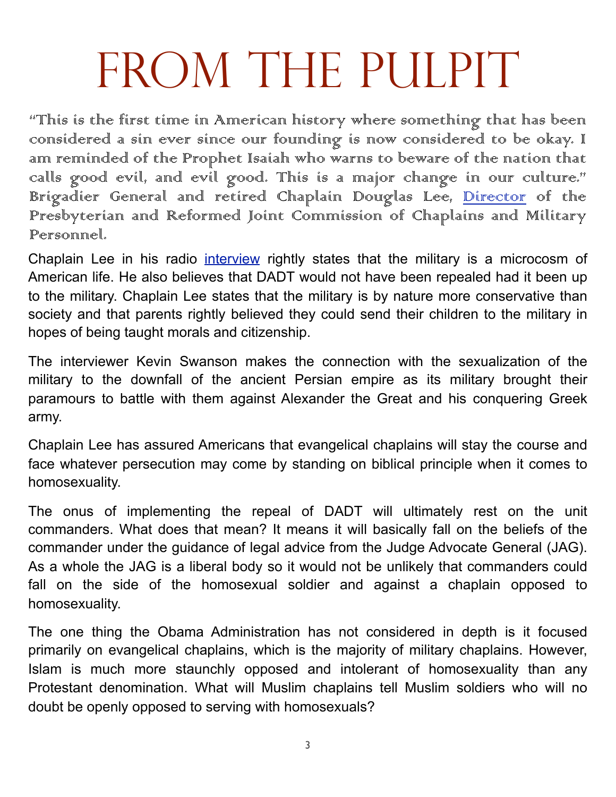# FROM THE PULPIT

"This is the first time in American history where something that has been considered a sin ever since our founding is now considered to be okay. I am reminded of the Prophet Isaiah who warns to beware of the nation that calls good evil, and evil good. This is a major change in our culture." Brigadier General and retired Chaplain Douglas Lee, <u>Director</u> of the Presbyterian and Reformed Joint Commission of Chaplains and Military Personnel.

Chaplain Lee in his radio [interview](http://www.sermonaudio.com/playpopup.asp?SID=911184681) rightly states that the military is a microcosm of American life. He also believes that DADT would not have been repealed had it been up to the military. Chaplain Lee states that the military is by nature more conservative than society and that parents rightly believed they could send their children to the military in hopes of being taught morals and citizenship.

The interviewer Kevin Swanson makes the connection with the sexualization of the military to the downfall of the ancient Persian empire as its military brought their paramours to battle with them against Alexander the Great and his conquering Greek army.

Chaplain Lee has assured Americans that evangelical chaplains will stay the course and face whatever persecution may come by standing on biblical principle when it comes to homosexuality.

The onus of implementing the repeal of DADT will ultimately rest on the unit commanders. What does that mean? It means it will basically fall on the beliefs of the commander under the guidance of legal advice from the Judge Advocate General (JAG). As a whole the JAG is a liberal body so it would not be unlikely that commanders could fall on the side of the homosexual soldier and against a chaplain opposed to homosexuality.

The one thing the Obama Administration has not considered in depth is it focused primarily on evangelical chaplains, which is the majority of military chaplains. However, Islam is much more staunchly opposed and intolerant of homosexuality than any Protestant denomination. What will Muslim chaplains tell Muslim soldiers who will no doubt be openly opposed to serving with homosexuals?